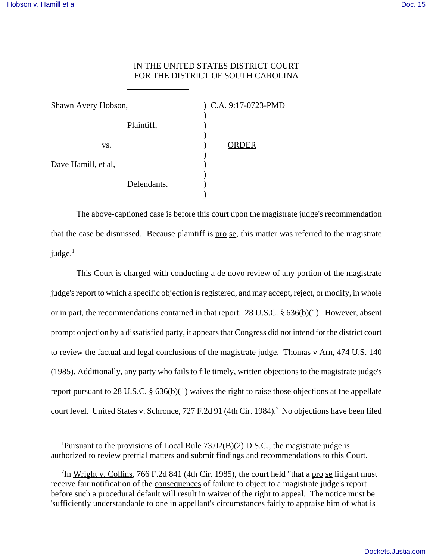## IN THE UNITED STATES DISTRICT COURT FOR THE DISTRICT OF SOUTH CAROLINA

| Shawn Avery Hobson, |             | ) C.A. 9:17-0723-PMD |  |
|---------------------|-------------|----------------------|--|
|                     | Plaintiff,  |                      |  |
| VS.                 |             | <b>ORDER</b>         |  |
| Dave Hamill, et al, |             |                      |  |
|                     | Defendants. |                      |  |

 $\overline{a}$ 

The above-captioned case is before this court upon the magistrate judge's recommendation that the case be dismissed. Because plaintiff is pro se, this matter was referred to the magistrate  $judge.<sup>1</sup>$ 

This Court is charged with conducting a <u>de novo</u> review of any portion of the magistrate judge's report to which a specific objection is registered, and may accept, reject, or modify, in whole or in part, the recommendations contained in that report. 28 U.S.C. § 636(b)(1). However, absent prompt objection by a dissatisfied party, it appears that Congress did not intend for the district court to review the factual and legal conclusions of the magistrate judge. Thomas v Arn, 474 U.S. 140 (1985). Additionally, any party who fails to file timely, written objections to the magistrate judge's report pursuant to 28 U.S.C. § 636(b)(1) waives the right to raise those objections at the appellate court level. United States v. Schronce, 727 F.2d 91 (4th Cir. 1984).<sup>2</sup> No objections have been filed

<sup>1</sup>Pursuant to the provisions of Local Rule  $73.02(B)(2)$  D.S.C., the magistrate judge is authorized to review pretrial matters and submit findings and recommendations to this Court.

<sup>2</sup>In <u>Wright v. Collins</u>, 766 F.2d 841 (4th Cir. 1985), the court held "that a pro se litigant must receive fair notification of the consequences of failure to object to a magistrate judge's report before such a procedural default will result in waiver of the right to appeal. The notice must be 'sufficiently understandable to one in appellant's circumstances fairly to appraise him of what is